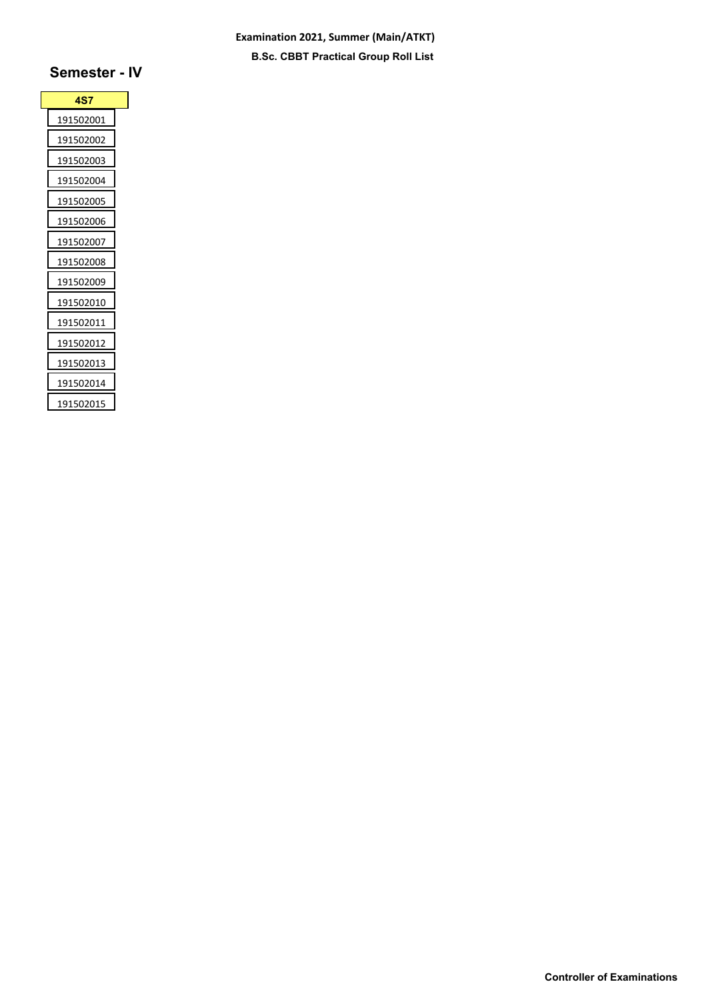## **Examination 2021, Summer (Main/ATKT) B.Sc. CBBT Practical Group Roll List**

| <b>4S7</b> |  |
|------------|--|
| 191502001  |  |
| 191502002  |  |
| 191502003  |  |
| 191502004  |  |
| 191502005  |  |
| 191502006  |  |
| 191502007  |  |
| 191502008  |  |
| 191502009  |  |
| 191502010  |  |
| 191502011  |  |
| 191502012  |  |
| 191502013  |  |
| 191502014  |  |
| 191502015  |  |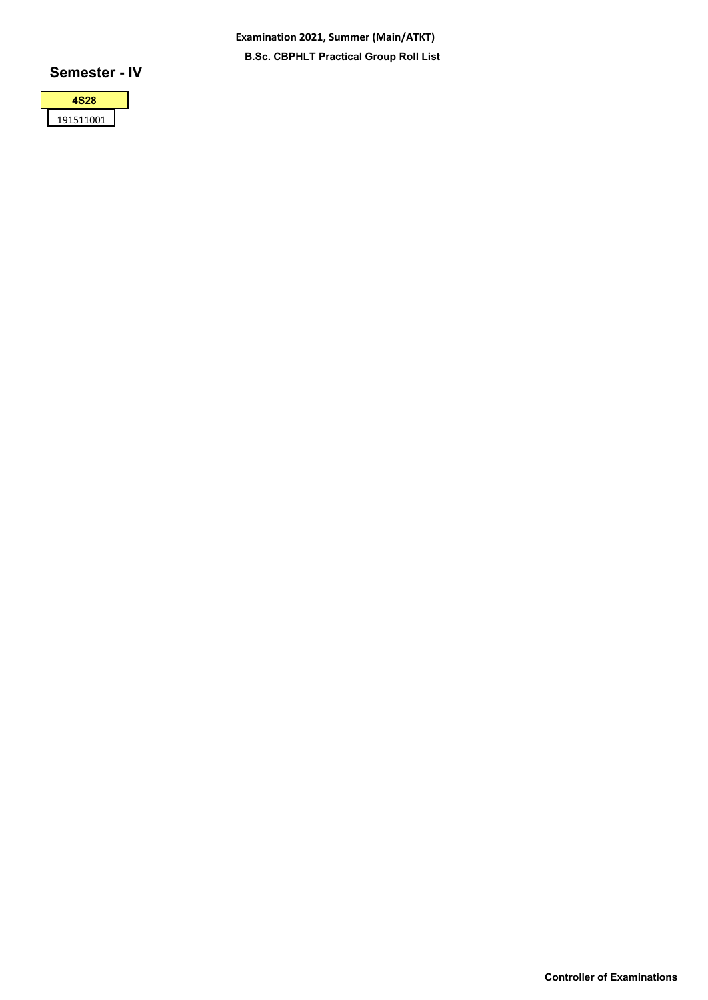**Examination 2021, Summer (Main/ATKT) B.Sc. CBPHLT Practical Group Roll List**

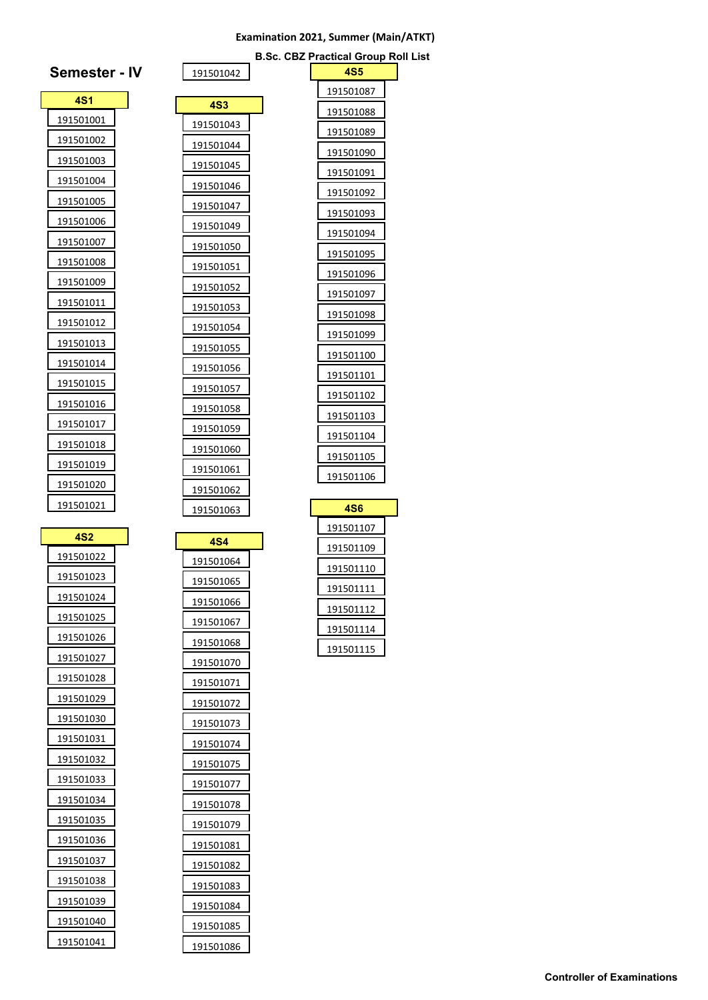#### **Examination 2021, Summer (Main/ATKT)**

**B.Sc. CBZ Practical Group Roll List**

| <b>Semester - IV</b> | 191501042        |
|----------------------|------------------|
| 4S1                  | <b>4S3</b>       |
| 191501001            | 191501043        |
| 191501002            | 191501044        |
| 191501003            | 191501045        |
| 191501004            | 191501046        |
| 191501005            | 191501047        |
| 191501006            | 191501049        |
| 191501007            | 191501050        |
| 191501008            | 191501051        |
| 191501009            | 191501052        |
| 191501011            | 191501053        |
| 191501012            | 191501054        |
| 191501013            | 191501055        |
| 191501014            | 191501056        |
| 191501015            | 191501057        |
| 191501016            | 191501058        |
| 191501017            | 191501059        |
| 191501018            | 191501060        |
| 191501019            | 191501061        |
| 191501020            | 191501062        |
| 191501021            | 191501063        |
| <b>4S2</b>           |                  |
| 191501022            | 4S4<br>191501064 |
| 191501023            | 191501065        |
| 191501024            | 191501066        |
| 191501025            | 191501067        |
| 191501026            | 191501068        |
| 191501027            | <u>191501070</u> |
| 191501028            | 191501071        |
| 191501029            | 191501072        |
| 191501030            | 191501073        |
| 191501031            | 191501074        |
| 191501032            | 191501075        |
| 191501033            | 191501077        |
| 191501034            | 191501078        |
| 191501035            | 191501079        |
| 191501036            | 191501081        |
| 191501037            | 191501082        |
| 191501038            | 191501083        |
| 191501039            | 191501084        |
| 191501040            | 191501085        |
| 191501041            | 191501086        |

| 4S5               |  |
|-------------------|--|
| 191501087         |  |
| 191501088         |  |
| 191501089         |  |
| 191501090         |  |
| 191501091         |  |
| 191501092         |  |
| 191501093         |  |
| 191501094         |  |
| 191501095         |  |
| 191501096         |  |
| 191501097         |  |
| 191501098         |  |
| 191501099         |  |
| 191501100         |  |
| <u>1915011</u> 01 |  |
| 191501102         |  |
| 191501103         |  |
| <u> 191501104</u> |  |
| 191501105         |  |
| 191501106         |  |
| 4S6               |  |
| 191501107         |  |
| 191501109         |  |
| 191501110         |  |
| 191501111         |  |
|                   |  |
| 191501112         |  |
| 191501114         |  |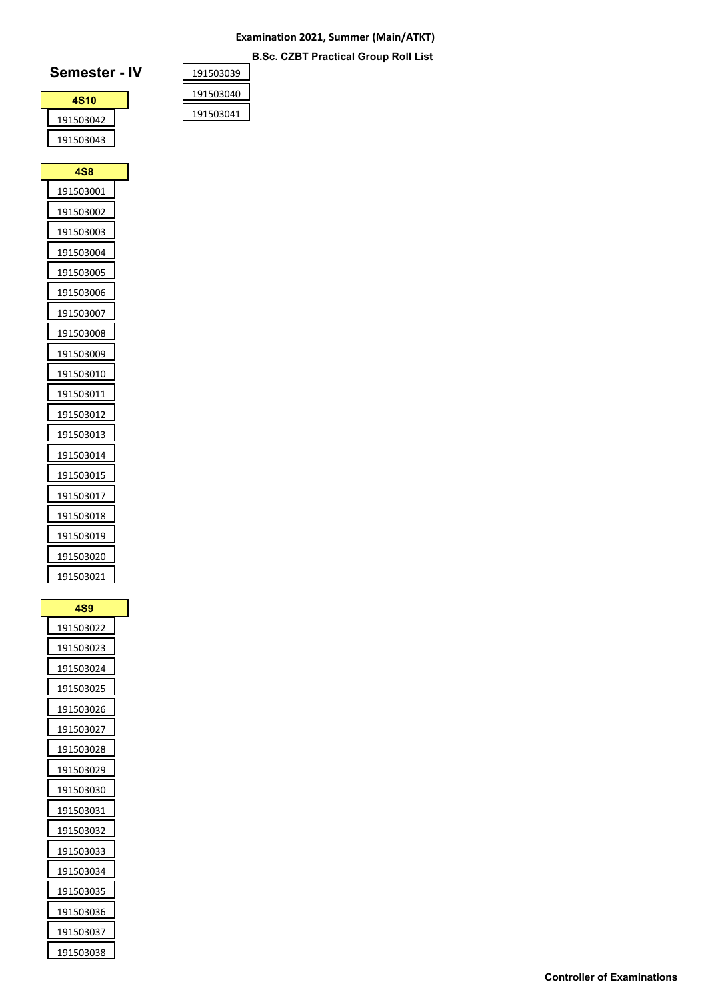## **Examination 2021, Summer (Main/ATKT) B.Sc. CZBT Practical Group Roll List**

# **Semester - IV**

| <b>4S10</b> |  |
|-------------|--|
| 191503042   |  |
| 191503043   |  |

**4S8** 

| 191503039 |  |
|-----------|--|
| 191503040 |  |
| 191503041 |  |

| 191503003        |
|------------------|
| 191503004        |
| 191503005        |
| 191503006        |
| 191503007        |
| 191503008        |
| 191503009        |
| 191503010        |
| 191503011        |
| 191503012        |
| 191503013        |
| 191503014        |
| 191503015        |
| <u>191503017</u> |
| 191503018        |
| 191503019        |
| 191503020        |
| 191503021        |

| <b>4S9</b>       |  |
|------------------|--|
| 191503022        |  |
| 191503023        |  |
| 191503024        |  |
| 191503025        |  |
| 191503026        |  |
| 191503027        |  |
| 191503028        |  |
| 191503029        |  |
| 191503030        |  |
| 191503031        |  |
| 191503032        |  |
| 191503033        |  |
| 191503034        |  |
| 191503035        |  |
| <u>191503036</u> |  |
| 191503037        |  |
| 191503038        |  |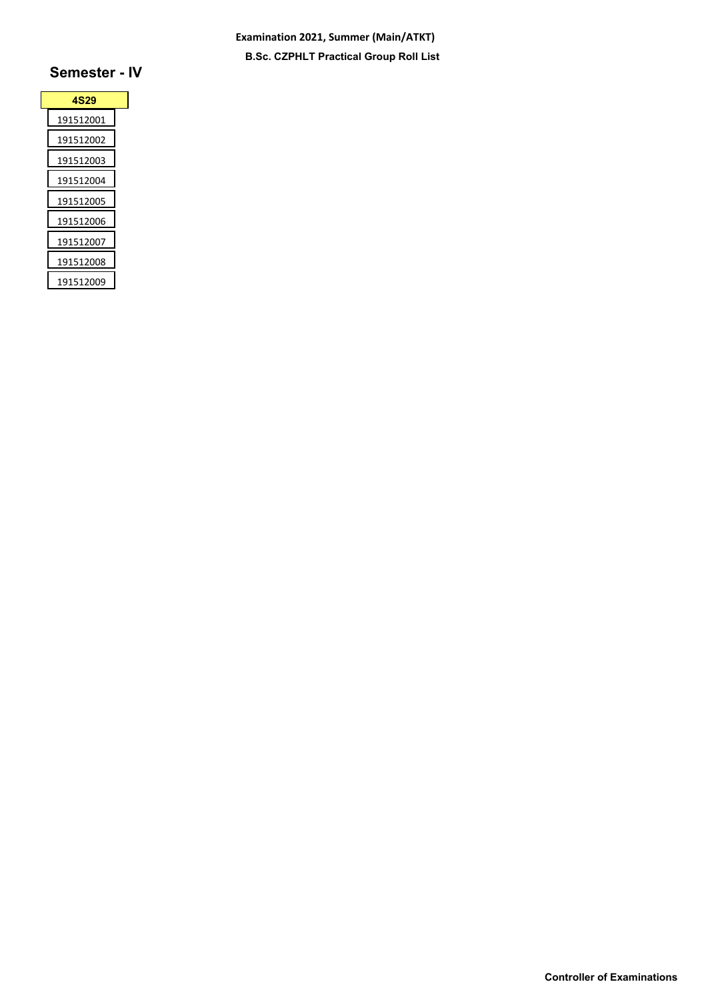## **Examination 2021, Summer (Main/ATKT) B.Sc. CZPHLT Practical Group Roll List**

| 4S29      |  |
|-----------|--|
| 191512001 |  |
| 191512002 |  |
| 191512003 |  |
| 191512004 |  |
| 191512005 |  |
| 191512006 |  |
| 191512007 |  |
| 191512008 |  |
| 191512009 |  |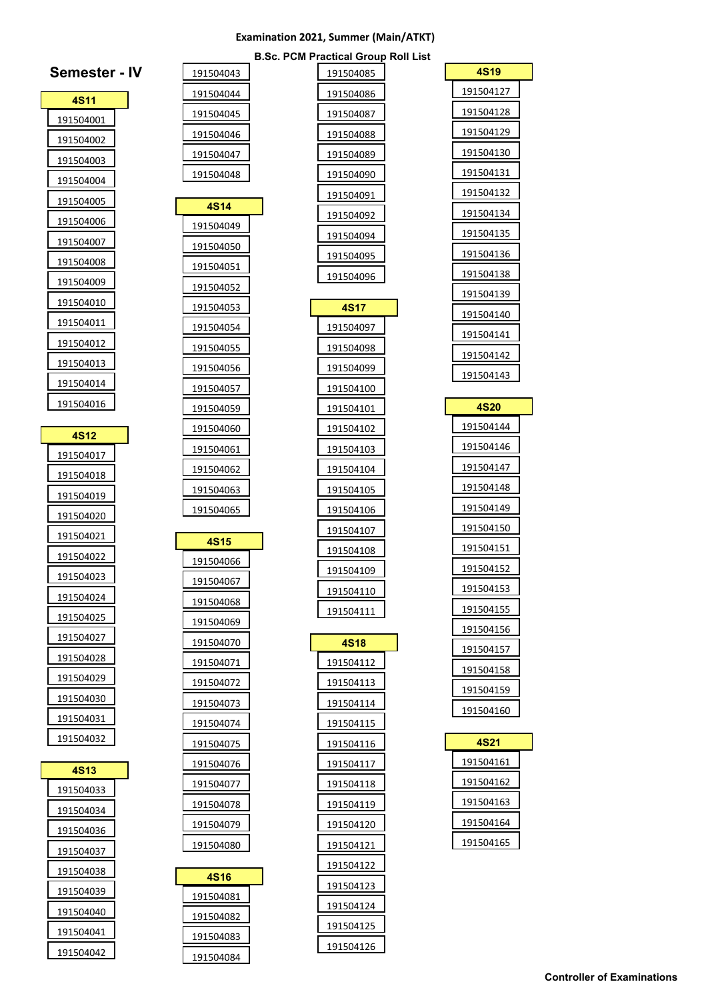#### **Examination 2021, Summer (Main/ATKT)**

**B.Sc. PCM Practical Group Roll List**

| Semester -             | IV |
|------------------------|----|
| 4S11                   |    |
| 191504001              |    |
| 191504002              |    |
| 191504003              |    |
| 191504004              |    |
| 191504005              |    |
| 191504006              |    |
| 191504007              |    |
| 191504008              |    |
| 191504009              |    |
| 191504010              |    |
| 191504011              |    |
| 191504012              |    |
| 191504013              |    |
| 191504014              |    |
| 191504016              |    |
| 4S12                   |    |
| 191504017              |    |
| 191504018              |    |
| 191504019              |    |
| 191504020              |    |
| 191504021              |    |
| 191504022              |    |
| 191504023              |    |
| 191504024              |    |
| 191504025              |    |
| 191504027              |    |
| 191504028              |    |
| 191504029              |    |
| 191504030              |    |
| 191504031              |    |
| 191504032              |    |
|                        |    |
| 4S13                   |    |
| 191504033              |    |
| 191504034              |    |
| 191504036              |    |
| 191504037              |    |
| 191504038              |    |
| 191504039              |    |
| 191504040              |    |
| 191504041<br>191504042 |    |
|                        |    |

| 191504085              |
|------------------------|
| 191504086              |
| 191504087              |
| 191504088              |
| 191504089              |
| 191504090              |
| 191504091              |
| 191504092              |
| 191504094              |
| 191504095              |
| 191504096              |
| <b>4S17</b>            |
|                        |
| 191504097              |
| 191504098              |
| 191504099              |
| 191504100              |
| 191504101              |
| 191504102              |
| 191504103              |
| 191504104              |
| 191504105              |
| 191504106              |
| 191504107              |
| 191504108              |
| 191504109<br>191504110 |
| 191504111              |
|                        |
| 4S18                   |
| 191504112              |
| 191504113              |
| 191504114              |
| 191504115              |
| 191504116              |
| 191504117              |
| 191504118              |
| 191504119              |
| 191504120              |
| 191504121              |
| 191504122              |
| 191504123              |
|                        |
| 191504124              |
| 191504125              |

| 4S19                   |  |
|------------------------|--|
| 191504127              |  |
| 191504128              |  |
| 191504129              |  |
| <u>191504130</u>       |  |
| 191504131              |  |
| 191504132              |  |
| 191504134              |  |
| 191504135              |  |
| 191504136              |  |
| 191504138              |  |
| 191504139              |  |
| 191504140              |  |
| 191504141              |  |
| 191504142              |  |
| 191504143              |  |
| 4S20                   |  |
| 191504144              |  |
| 191504146              |  |
| 191504147              |  |
| 191504148              |  |
| 191504149              |  |
| 191504150              |  |
| 191504151              |  |
| 191504152              |  |
| 191504153              |  |
| 191504155              |  |
| 191504156              |  |
| 191504157              |  |
| 191504158              |  |
| 191504159              |  |
| <u>191504160</u>       |  |
|                        |  |
| 4S21                   |  |
| 191504161              |  |
| 191504162              |  |
| 191504163              |  |
| 191504164<br>191504165 |  |
|                        |  |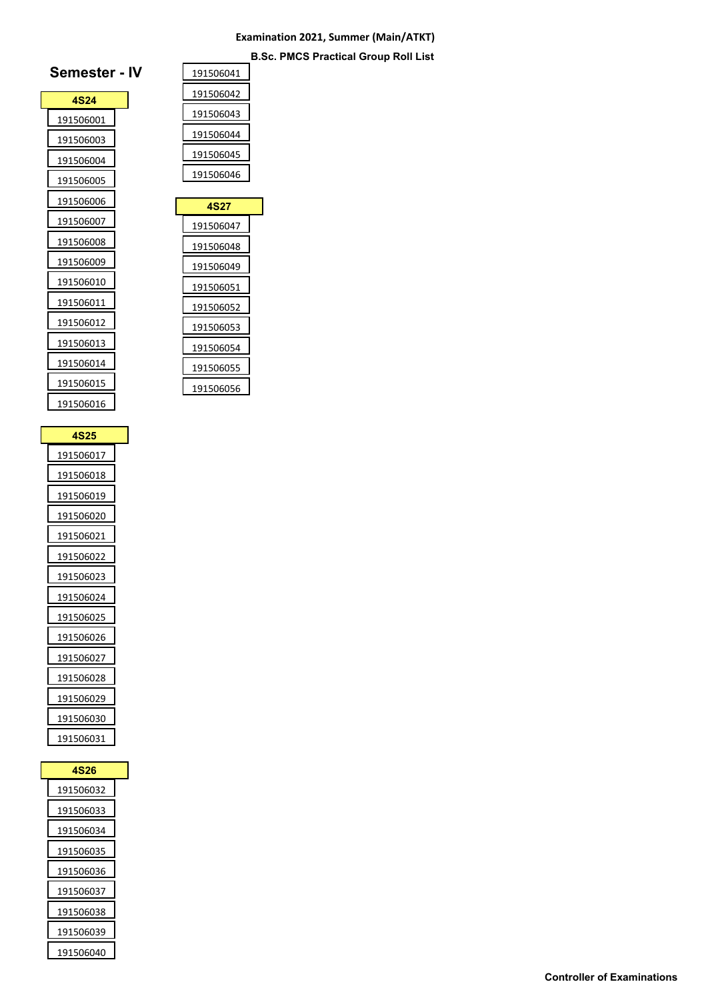## **Examination 2021, Summer (Main/ATKT) B.Sc. PMCS Practical Group Roll List**

| <b>4S24</b> |  |
|-------------|--|
| 191506001   |  |
| 191506003   |  |
| 191506004   |  |
| 191506005   |  |
| 191506006   |  |
| 191506007   |  |
| 191506008   |  |
| 191506009   |  |
| 191506010   |  |
| 191506011   |  |
| 191506012   |  |
| 191506013   |  |
| 191506014   |  |
| 191506015   |  |
| 191506016   |  |
|             |  |

| <b>4S25</b> |  |
|-------------|--|
| 191506017   |  |
| 191506018   |  |
| 191506019   |  |
| 191506020   |  |
| 191506021   |  |
| 191506022   |  |
| 191506023   |  |
| 191506024   |  |
| 191506025   |  |
| 191506026   |  |
| 191506027   |  |
| 191506028   |  |
| 191506029   |  |
| 191506030   |  |
| 191506031   |  |

| 4S26      |
|-----------|
| 191506032 |
| 191506033 |
| 191506034 |
| 191506035 |
| 191506036 |
| 191506037 |
| 191506038 |
| 191506039 |
| 191506040 |

| 191506041 |
|-----------|
| 191506042 |
| 191506043 |
| 191506044 |
| 191506045 |
| 191506046 |
|           |
| 4S27      |

| 4S27      |  |
|-----------|--|
| 191506047 |  |
| 191506048 |  |
| 191506049 |  |
| 191506051 |  |
| 191506052 |  |
| 191506053 |  |
| 191506054 |  |
| 191506055 |  |
| 191506056 |  |